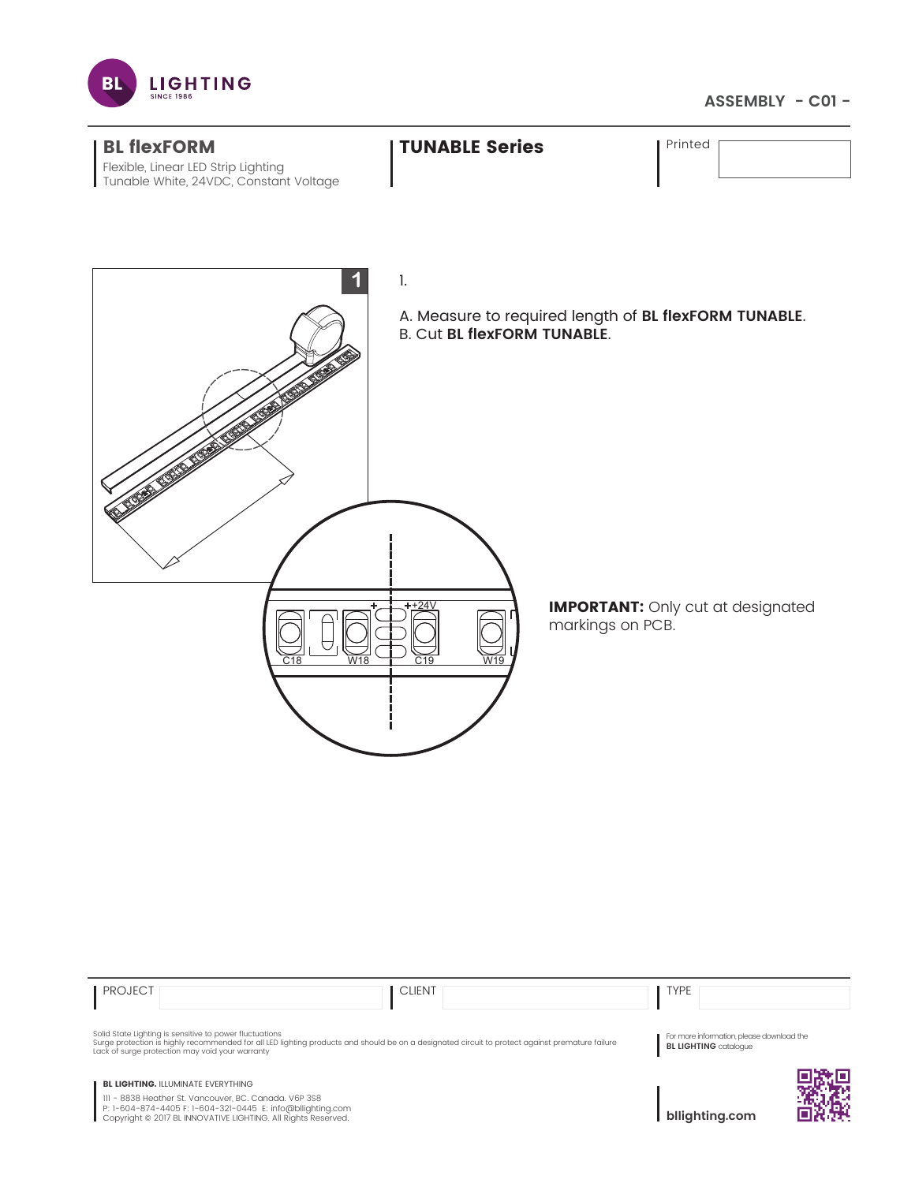

## **ASSEMBLY - C01 -**



| <b>PROJECT</b>                                                                                                                                                                                                                                                | <b>CLIENT</b> | <b>TYPE</b>                                                               |  |
|---------------------------------------------------------------------------------------------------------------------------------------------------------------------------------------------------------------------------------------------------------------|---------------|---------------------------------------------------------------------------|--|
| Solid State Lighting is sensitive to power fluctuations<br>Surge protection is highly recommended for all LED lighting products and should be on a designated circuit to protect against premature failure<br>Lack of surge protection may void your warranty |               | For more information, please download the<br><b>BL LIGHTING</b> catalogue |  |
| <b>BL LIGHTING. ILLUMINATE EVERYTHING</b><br>III - 8838 Heather St. Vancouver, BC. Canada. V6P 3S8<br>P: 1-604-874-4405 F: 1-604-321-0445 E: info@bllighting.com<br>Copyright © 2017 BL INNOVATIVE LIGHTING. All Rights Reserved.                             |               | bllighting.com                                                            |  |